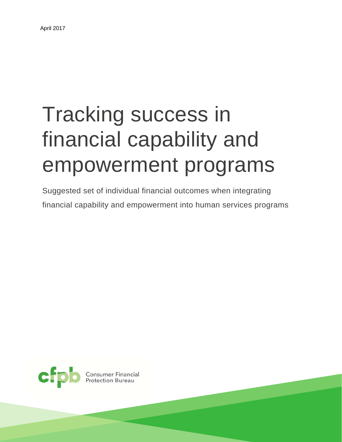# Tracking success in financial capability and empowerment programs

Suggested set of individual financial outcomes when integrating financial capability and empowerment into human services programs



**Consumer Financial**<br>Protection Bureau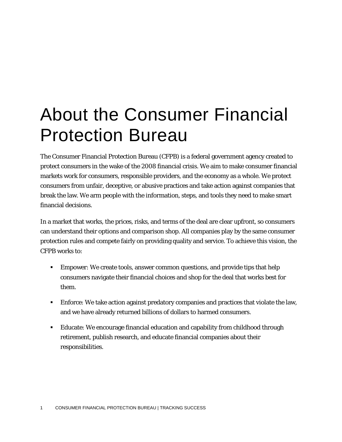# About the Consumer Financial Protection Bureau

The Consumer Financial Protection Bureau (CFPB) is a federal government agency created to protect consumers in the wake of the 2008 financial crisis. We aim to make consumer financial markets work for consumers, responsible providers, and the economy as a whole. We protect consumers from unfair, deceptive, or abusive practices and take action against companies that break the law. We arm people with the information, steps, and tools they need to make smart financial decisions.

In a market that works, the prices, risks, and terms of the deal are clear upfront, so consumers can understand their options and comparison shop. All companies play by the same consumer protection rules and compete fairly on providing quality and service. To achieve this vision, the CFPB works to:

- Empower: We create tools, answer common questions, and provide tips that help consumers navigate their financial choices and shop for the deal that works best for them.
- Enforce: We take action against predatory companies and practices that violate the law, and we have already returned billions of dollars to harmed consumers.
- Educate: We encourage financial education and capability from childhood through retirement, publish research, and educate financial companies about their responsibilities.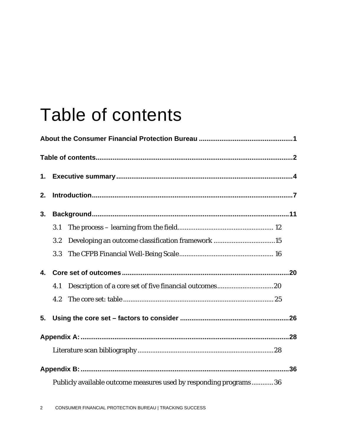# Table of contents

| 2.             |     |                                                   |  |
|----------------|-----|---------------------------------------------------|--|
| 3.             |     |                                                   |  |
|                | 3.1 |                                                   |  |
|                | 3.2 | Developing an outcome classification framework 15 |  |
|                | 3.3 |                                                   |  |
|                |     |                                                   |  |
| 4 <sub>1</sub> |     |                                                   |  |
|                | 4.1 |                                                   |  |
|                | 4.2 |                                                   |  |
| 5.             |     |                                                   |  |
|                |     |                                                   |  |
|                |     |                                                   |  |
|                |     |                                                   |  |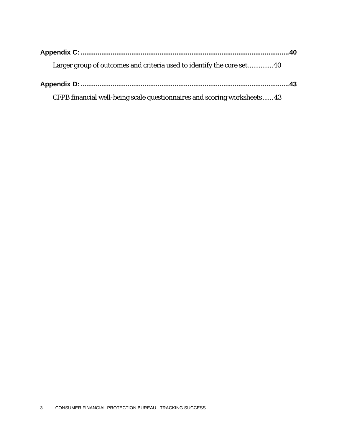| Larger group of outcomes and criteria used to identify the core set40    |  |
|--------------------------------------------------------------------------|--|
|                                                                          |  |
| CFPB financial well-being scale questionnaires and scoring worksheets 43 |  |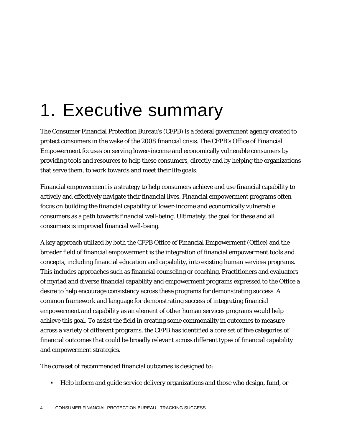# 1. Executive summary

The Consumer Financial Protection Bureau's (CFPB) is a federal government agency created to protect consumers in the wake of the 2008 financial crisis. The CFPB's Office of Financial Empowerment focuses on serving lower-income and economically vulnerable consumers by providing tools and resources to help these consumers, directly and by helping the organizations that serve them, to work towards and meet their life goals.

Financial empowerment is a strategy to help consumers achieve and use financial capability to actively and effectively navigate their financial lives. Financial empowerment programs often focus on building the financial capability of lower-income and economically vulnerable consumers as a path towards financial well-being. Ultimately, the goal for these and all consumers is improved financial well-being.

A key approach utilized by both the CFPB Office of Financial Empowerment (Office) and the broader field of financial empowerment is the integration of financial empowerment tools and concepts, including financial education and capability, into existing human services programs. This includes approaches such as financial counseling or coaching. Practitioners and evaluators of myriad and diverse financial capability and empowerment programs expressed to the Office a desire to help encourage consistency across these programs for demonstrating success. A common framework and language for demonstrating success of integrating financial empowerment and capability as an element of other human services programs would help achieve this goal. To assist the field in creating some commonality in outcomes to measure across a variety of different programs, the CFPB has identified a core set of five categories of financial outcomes that could be broadly relevant across different types of financial capability and empowerment strategies.

The core set of recommended financial outcomes is designed to:

Help inform and guide service delivery organizations and those who design, fund, or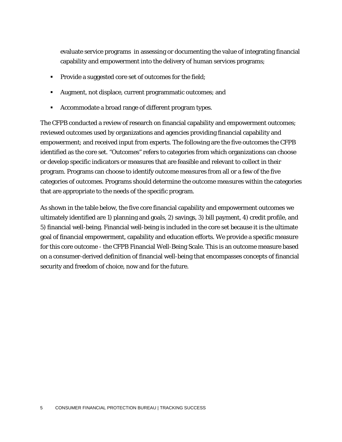evaluate service programs in assessing or documenting the value of integrating financial capability and empowerment into the delivery of human services programs;

- Provide a suggested core set of outcomes for the field;
- Augment, not displace, current programmatic outcomes; and
- Accommodate a broad range of different program types.

The CFPB conducted a review of research on financial capability and empowerment outcomes; reviewed outcomes used by organizations and agencies providing financial capability and empowerment; and received input from experts. The following are the five outcomes the CFPB identified as the core set. "Outcomes" refers to categories from which organizations can choose or develop specific indicators or measures that are feasible and relevant to collect in their program. Programs can choose to identify outcome *measures* from all or a few of the five categories of outcomes. Programs should determine the outcome *measures* within the categories that are appropriate to the needs of the specific program.

As shown in the table below, the five core financial capability and empowerment outcomes we ultimately identified are 1) planning and goals, 2) savings, 3) bill payment, 4) credit profile, and 5) financial well-being. Financial well-being is included in the core set because it is the ultimate goal of financial empowerment, capability and education efforts. We provide a specific measure for this core outcome - the CFPB Financial Well-Being Scale. This is an outcome measure based on a consumer-derived definition of financial well-being that encompasses concepts of financial security and freedom of choice, now and for the future.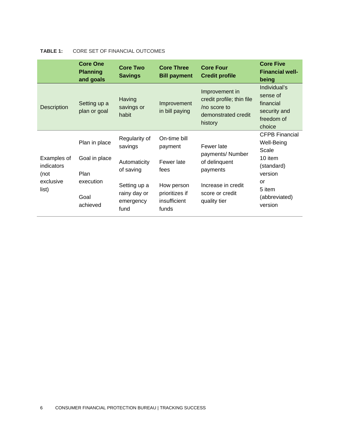### **TABLE 1:** CORE SET OF FINANCIAL OUTCOMES

|                                   | <b>Core One</b><br><b>Planning</b><br>and goals | <b>Core Two</b><br><b>Savings</b>                     | <b>Core Three</b><br><b>Bill payment</b>              | <b>Core Four</b><br><b>Credit profile</b>                                                     | <b>Core Five</b><br><b>Financial well-</b><br>being                              |
|-----------------------------------|-------------------------------------------------|-------------------------------------------------------|-------------------------------------------------------|-----------------------------------------------------------------------------------------------|----------------------------------------------------------------------------------|
| <b>Description</b>                | Setting up a<br>plan or goal                    | Having<br>savings or<br>habit                         | Improvement<br>in bill paying                         | Improvement in<br>credit profile; thin file<br>/no score to<br>demonstrated credit<br>history | Individual's<br>sense of<br>financial<br>security and<br>freedom of<br>choice    |
| Examples of<br>indicators<br>(not | Plan in place<br>Goal in place<br>Plan          | Regularity of<br>savings<br>Automaticity<br>of saving | On-time bill<br>payment<br>Fewer late<br>fees         | Fewer late<br>payments/Number<br>of delinquent<br>payments                                    | <b>CFPB Financial</b><br>Well-Being<br>Scale<br>10 item<br>(standard)<br>version |
| exclusive<br>list)                | execution<br>Goal<br>achieved                   | Setting up a<br>rainy day or<br>emergency<br>fund     | How person<br>prioritizes if<br>insufficient<br>funds | Increase in credit<br>score or credit<br>quality tier                                         | or<br>5 item<br>(abbreviated)<br>version                                         |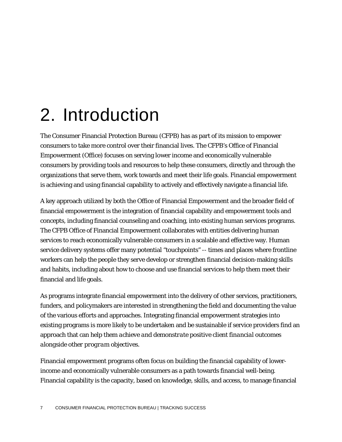# 2. Introduction

The Consumer Financial Protection Bureau (CFPB) has as part of its mission to empower consumers to take more control over their financial lives. The CFPB's Office of Financial Empowerment (Office) focuses on serving lower income and economically vulnerable consumers by providing tools and resources to help these consumers, directly and through the organizations that serve them, work towards and meet their life goals. Financial empowerment is achieving and using financial capability to actively and effectively navigate a financial life.

A key approach utilized by both the Office of Financial Empowerment and the broader field of financial empowerment is the integration of financial capability and empowerment tools and concepts, including financial counseling and coaching, into existing human services programs. The CFPB Office of Financial Empowerment collaborates with entities delivering human services to reach economically vulnerable consumers in a scalable and effective way. Human service delivery systems offer many potential "touchpoints" -- times and places where frontline workers can help the people they serve develop or strengthen financial decision-making skills and habits, including about how to choose and use financial services to help them meet their financial and life goals.

As programs integrate financial empowerment into the delivery of other services, practitioners, funders, and policymakers are interested in strengthening the field and documenting the value of the various efforts and approaches. Integrating financial empowerment strategies into existing programs is more likely to be undertaken and be sustainable if service providers find an approach that can *help them achieve and demonstrate positive client financial outcomes alongside other program objectives.*

Financial empowerment programs often focus on building the financial capability of lowerincome and economically vulnerable consumers as a path towards financial well-being. Financial capability is the capacity, based on knowledge, skills, and access, to manage financial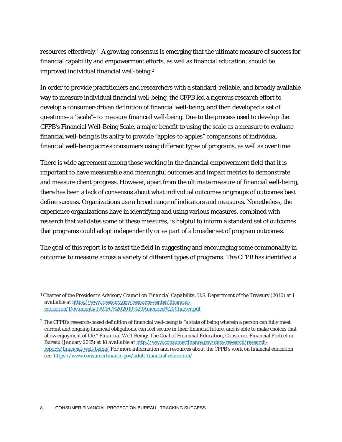resources effectively.1 A growing consensus is emerging that the ultimate measure of success for financial capability and empowerment efforts, as well as financial education, should be improved individual financial well-being.2

In order to provide practitioners and researchers with a standard, reliable, and broadly available way to measure individual financial well-being, the CFPB led a rigorous research effort to develop a consumer-driven definition of financial well-being, and then developed a set of questions–a "scale"–to measure financial well-being. Due to the process used to develop the CFPB's Financial Well-Being Scale, a major benefit to using the scale as a measure to evaluate financial well-being is its abilty to provide "apples-to-apples" comparisons of individual financial well-being across consumers using different types of programs, as well as over time.

There is wide agreement among those working in the financial empowerment field that it is important to have measurable and meaningful outcomes and impact metrics to demonstrate and measure client progress. However, apart from the ultimate measure of financial well-being, there has been a lack of consensus about what individual outcomes or groups of outcomes best define success. Organizations use a broad range of indicators and measures. Nonetheless, the experience organizations have in identifying and using various measures, combined with research that validates some of these measures, is helpful to inform a standard set of outcomes that programs could adopt independently or as part of a broader set of program outcomes.

The goal of this report is to assist the field in suggesting and encouraging some commonality in outcomes to measure across a variety of different types of programs. The CFPB has identified a

 $\overline{a}$ 

<sup>1</sup> *Charter of the President's Advisory Council on Financial Capability*, U.S. Department of the Treasury (2010) at 1 *available at* https://www.treasury.gov/resource-center/financialeducation/Documents/PACFC%202010%20Amended%20Charter.pdf

<sup>&</sup>lt;sup>2</sup> The CFPB's research-based definition of financial well-being is "a state of being wherein a person can fully meet current and ongoing financial obligations, can feel secure in their financial future, and is able to make choices that allow enjoyment of life." *Financial Well-Being: The Goal of Financial Education*, Consumer Financial Protection Bureau (January 2015) at 18 *available at* http://www.consumerfinance.gov/data-research/researchreports/financial-well-being/ For more information and resources about the CFPB's work on financial education, see https://www.consumerfinance.gov/adult-financial-education/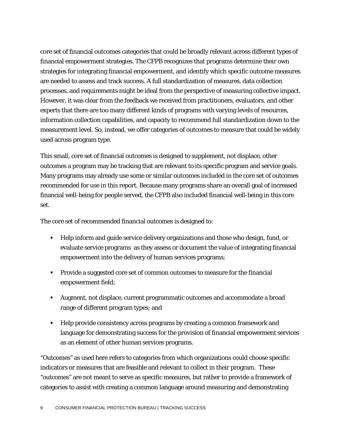core set of financial outcomes categories that could be broadly relevant across different types of financial empowerment strategies. The CFPB recognizes that programs determine their own strategies for integrating financial empowerment, and identify which specific outcome measures are needed to assess and track success. A full standardization of measures, data collection processes, and requirements might be ideal from the perspective of measuring collective impact. However, it was clear from the feedback we received from practitioners, evaluators, and other experts that there are too many different kinds of programs with varying levels of resources, information collection capabilities, and capacity to recommend full standardization down to the measurement level. So, instead, we offer categories of outcomes to measure that could be widely used across program type.

This small, core set of financial outcomes is designed to supplement, not displace, other outcomes a program may be tracking that are relevant to its specific program and service goals. Many programs may already use some or similar outcomes included in the core set of outcomes recommended for use in this report. Because many programs share an overall goal of increased financial well-being for people served, the CFPB also included financial well-being in this core set.

The core set of recommended financial outcomes is designed to:

- Help inform and guide service delivery organizations and those who design, fund, or evaluate service programs as they assess or document the value of integrating financial empowerment into the delivery of human services programs;
- **Provide a suggested core set of common outcomes to measure for the financial** empowerment field;
- Augment, not displace, current programmatic outcomes and accommodate a broad range of different program types; and
- **Help provide consistency across programs by creating a common framework and** language for demonstrating success for the provision of financial empowerment services as an element of other human services programs.

"Outcomes" as used here refers to categories from which organizations could choose specific indicators or measures that are feasible and relevant to collect in their program. These "outcomes" are not meant to serve as specific measures, but rather to provide a framework of categories to assist with creating a common language around measuring and demonstrating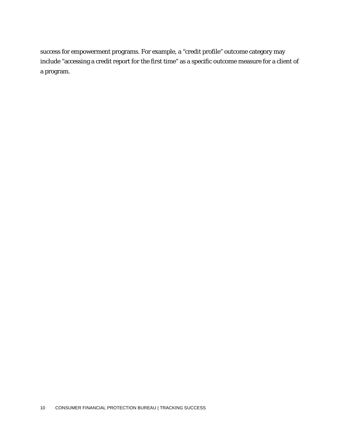success for empowerment programs. For example, a "credit profile" outcome category may include "accessing a credit report for the first time" as a specific outcome measure for a client of a program.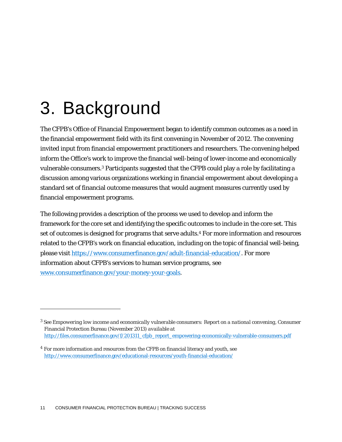# 3. Background

 $\overline{a}$ 

The CFPB's Office of Financial Empowerment began to identify common outcomes as a need in the financial empowerment field with its first convening in November of 2012. The convening invited input from financial empowerment practitioners and researchers. The convening helped inform the Office's work to improve the financial well-being of lower-income and economically vulnerable consumers.3 Participants suggested that the CFPB could play a role by facilitating a discussion among various organizations working in financial empowerment about developing a standard set of financial outcome measures that would augment measures currently used by financial empowerment programs.

The following provides a description of the process we used to develop and inform the framework for the core set and identifying the specific outcomes to include in the core set. This set of outcomes is designed for programs that serve adults.4 For more information and resources related to the CFPB's work on financial education, including on the topic of financial well-being, please visit https://www.consumerfinance.gov/adult-financial-education/. For more information about CFPB's services to human service programs, see www.consumerfinance.gov/your-money-your-goals.

<sup>3</sup> See *Empowering low income and economically vulnerable consumers: Report on a national convening,* Consumer Financial Protection Bureau (November 2013) *available at* http://files.consumerfinance.gov/f/201311\_cfpb\_report\_empowering-economically-vulnerable-consumers.pdf

<sup>4</sup> For more information and resources from the CFPB on financial literacy and youth, see http://www.consumerfinance.gov/educational-resources/youth-financial-education/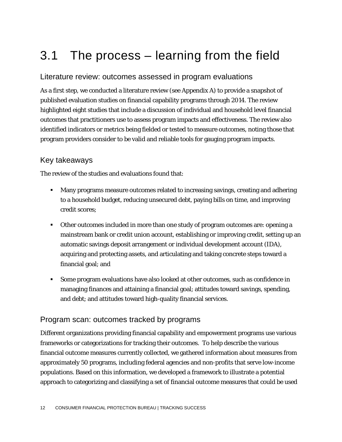## 3.1 The process – learning from the field

### Literature review: outcomes assessed in program evaluations

As a first step, we conducted a literature review (see Appendix A) to provide a snapshot of published evaluation studies on financial capability programs through 2014. The review highlighted eight studies that include a discussion of individual and household level financial outcomes that practitioners use to assess program impacts and effectiveness. The review also identified indicators or metrics being fielded or tested to measure outcomes, noting those that program providers consider to be valid and reliable tools for gauging program impacts.

### Key takeaways

The review of the studies and evaluations found that:

- Many programs measure outcomes related to increasing savings, creating and adhering to a household budget, reducing unsecured debt, paying bills on time, and improving credit scores;
- Other outcomes included in more than one study of program outcomes are: opening a mainstream bank or credit union account, establishing or improving credit, setting up an automatic savings deposit arrangement or individual development account (IDA), acquiring and protecting assets, and articulating and taking concrete steps toward a financial goal; and
- Some program evaluations have also looked at other outcomes, such as confidence in managing finances and attaining a financial goal; attitudes toward savings, spending, and debt; and attitudes toward high-quality financial services.

### Program scan: outcomes tracked by programs

Different organizations providing financial capability and empowerment programs use various frameworks or categorizations for tracking their outcomes. To help describe the various financial outcome measures currently collected, we gathered information about measures from approximately 50 programs, including federal agencies and non-profits that serve low-income populations. Based on this information, we developed a framework to illustrate a potential approach to categorizing and classifying a set of financial outcome measures that could be used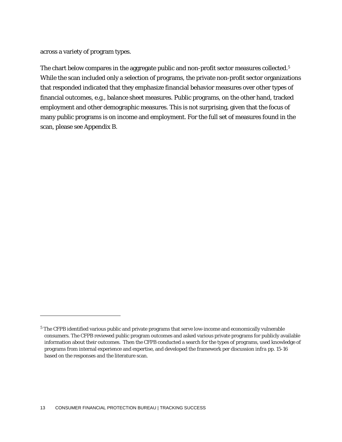across a variety of program types.

 $\overline{a}$ 

The chart below compares in the aggregate public and non-profit sector measures collected.<sup>5</sup> While the scan included only a selection of programs, the private non-profit sector organizations that responded indicated that they emphasize financial behavior measures over other types of financial outcomes, e.g., balance sheet measures. Public programs, on the other hand, tracked employment and other demographic measures. This is not surprising, given that the focus of many public programs is on income and employment. For the full set of measures found in the scan, please see Appendix B.

<sup>5</sup> The CFPB identified various public and private programs that serve low-income and economically vulnerable consumers. The CFPB reviewed public program outcomes and asked various private programs for publicly available information about their outcomes. Then the CFPB conducted a search for the types of programs, used knowledge of programs from internal experience and expertise, and developed the framework per discussion *infra* pp. 15-16 based on the responses and the literature scan.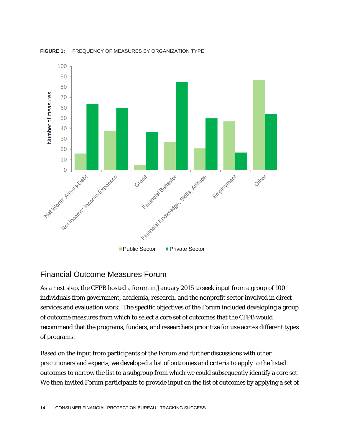

**FIGURE 1:** FREQUENCY OF MEASURES BY ORGANIZATION TYPE

### Financial Outcome Measures Forum

As a next step, the CFPB hosted a forum in January 2015 to seek input from a group of 100 individuals from government, academia, research, and the nonprofit sector involved in direct services and evaluation work. The specific objectives of the Forum included developing a group of outcome measures from which to select a core set of outcomes that the CFPB would recommend that the programs, funders, and researchers prioritize for use across different types of programs.

Based on the input from participants of the Forum and further discussions with other practitioners and experts, we developed a list of outcomes and criteria to apply to the listed outcomes to narrow the list to a subgroup from which we could subsequently identify a core set. We then invited Forum participants to provide input on the list of outcomes by applying a set of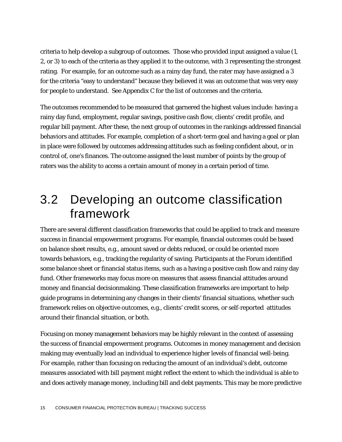criteria to help develop a subgroup of outcomes. Those who provided input assigned a value (1, 2, or 3) to each of the criteria as they applied it to the outcome, with 3 representing the strongest rating. For example, for an outcome such as a rainy day fund, the rater may have assigned a 3 for the criteria "easy to understand" because they believed it was an outcome that was very easy for people to understand. See Appendix C for the list of outcomes and the criteria.

The outcomes recommended to be measured that garnered the highest values include: having a rainy day fund, employment, regular savings, positive cash flow, clients' credit profile, and regular bill payment. After these, the next group of outcomes in the rankings addressed financial behaviors and attitudes. For example, completion of a short-term goal and having a goal or plan in place were followed by outcomes addressing attitudes such as feeling confident about, or in control of, one's finances. The outcome assigned the least number of points by the group of raters was the ability to access a certain amount of money in a certain period of time.

## 3.2 Developing an outcome classification framework

There are several different classification frameworks that could be applied to track and measure success in financial empowerment programs. For example, financial outcomes could be based on balance sheet results, e.g., amount saved or debts reduced, or could be oriented more towards behaviors, e.g., tracking the regularity of saving. Participants at the Forum identified some balance sheet or financial status items, such as a having a positive cash flow and rainy day fund. Other frameworks may focus more on measures that assess financial attitudes around money and financial decisionmaking. These classification frameworks are important to help guide programs in determining any changes in their clients' financial situations, whether such framework relies on objective outcomes, e.g., clients' credit scores, or self-reported attitudes around their financial situation, or both.

Focusing on money management behaviors may be highly relevant in the context of assessing the success of financial empowerment programs. Outcomes in money management and decision making may eventually lead an individual to experience higher levels of financial well-being. For example, rather than focusing on reducing the amount of an individual's debt, outcome measures associated with bill payment might reflect the extent to which the individual is able to and does actively manage money, including bill and debt payments. This may be more predictive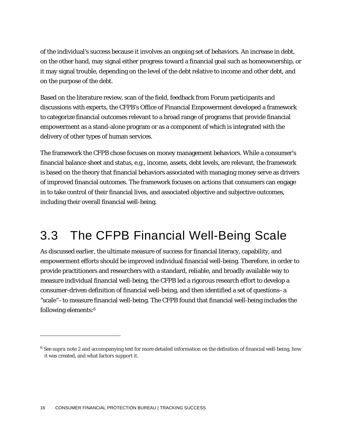of the individual's success because it involves an ongoing set of behaviors. An increase in debt, on the other hand, may signal either progress toward a financial goal such as homeownership, or it may signal trouble, depending on the level of the debt relative to income and other debt, and on the purpose of the debt.

Based on the literature review, scan of the field, feedback from Forum participants and discussions with experts, the CFPB's Office of Financial Empowerment developed a framework to categorize financial outcomes relevant to a broad range of programs that provide financial empowerment as a stand-alone program or as a component of which is integrated with the delivery of other types of human services.

The framework the CFPB chose focuses on money management behaviors. While a consumer's financial balance sheet and status, e.g., income, assets, debt levels, are relevant, the framework is based on the theory that financial behaviors associated with managing money serve as drivers of improved financial outcomes. The framework focuses on actions that consumers can engage in to take control of their financial lives, and associated objective and subjective outcomes, including their overall financial well-being.

## 3.3 The CFPB Financial Well-Being Scale

As discussed earlier, the ultimate measure of success for financial literacy, capability, and empowerment efforts should be improved individual financial well-being. Therefore, in order to provide practitioners and researchers with a standard, reliable, and broadly available way to measure individual financial well-being, the CFPB led a rigorous research effort to develop a consumer-driven definition of financial well-being, and then identified a set of questions–a "scale"–to measure financial well-being. The CFPB found that financial well-being includes the following elements:6

<u>.</u>

<sup>6</sup> *See supra* note 2 and accompanying text for more detailed information on the definition of financial well-being, how it was created, and what factors support it.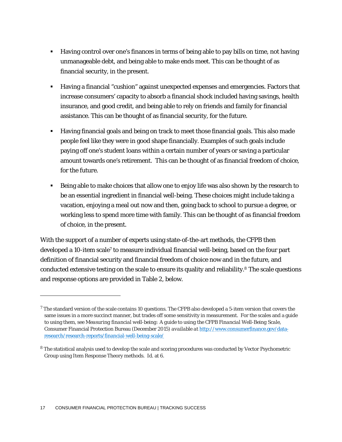- Having control over one's finances in terms of being able to pay bills on time, not having unmanageable debt, and being able to make ends meet. This can be thought of as financial security, in the present.
- Having a financial "cushion" against unexpected expenses and emergencies. Factors that increase consumers' capacity to absorb a financial shock included having savings, health insurance, and good credit, and being able to rely on friends and family for financial assistance. This can be thought of as financial security, for the future.
- Having financial goals and being on track to meet those financial goals. This also made people feel like they were in good shape financially. Examples of such goals include paying off one's student loans within a certain number of years or saving a particular amount towards one's retirement. This can be thought of as financial freedom of choice, for the future.
- **Being able to make choices that allow one to enjoy life was also shown by the research to** be an essential ingredient in financial well-being. These choices might include taking a vacation, enjoying a meal out now and then, going back to school to pursue a degree, or working less to spend more time with family. This can be thought of as financial freedom of choice, in the present.

With the support of a number of experts using state-of-the-art methods, the CFPB then developed a 10-item scale<sup>7</sup> to measure individual financial well-being, based on the four part definition of financial security and financial freedom of choice now and in the future, and conducted extensive testing on the scale to ensure its quality and reliability.8 The scale questions and response options are provided in Table 2, below.

<u>.</u>

<sup>&</sup>lt;sup>7</sup> The standard version of the scale contains 10 questions. The CFPB also developed a 5-item version that covers the same issues in a more succinct manner, but trades off some sensitivity in measurement. For the scales and a guide to using them, see *Measuring financial well-being: A guide to using the CFPB Financial Well-Being Scale*, Consumer Financial Protection Bureau (December 2015) *available at* http://www.consumerfinance.gov/dataresearch/research-reports/financial-well-being-scale/

<sup>8</sup> The statistical analysis used to develop the scale and scoring procedures was conducted by Vector Psychometric Group using Item Response Theory methods. *Id.* at 6.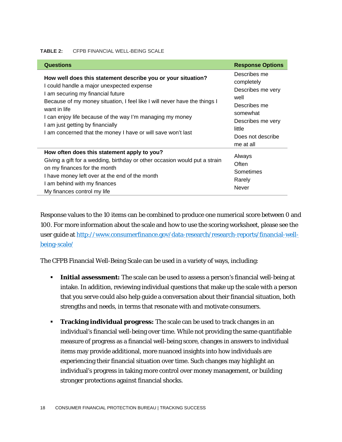#### **TABLE 2:** CFPB FINANCIAL WELL-BEING SCALE

| <b>Questions</b>                                                                                                                                                                                                                                                                                                                                                                                             | <b>Response Options</b>                                                                                                                              |
|--------------------------------------------------------------------------------------------------------------------------------------------------------------------------------------------------------------------------------------------------------------------------------------------------------------------------------------------------------------------------------------------------------------|------------------------------------------------------------------------------------------------------------------------------------------------------|
| How well does this statement describe you or your situation?<br>I could handle a major unexpected expense<br>I am securing my financial future<br>Because of my money situation, I feel like I will never have the things I<br>want in life<br>I can enjoy life because of the way I'm managing my money<br>I am just getting by financially<br>I am concerned that the money I have or will save won't last | Describes me<br>completely<br>Describes me very<br>well<br>Describes me<br>somewhat<br>Describes me very<br>little<br>Does not describe<br>me at all |
| How often does this statement apply to you?<br>Giving a gift for a wedding, birthday or other occasion would put a strain<br>on my finances for the month<br>I have money left over at the end of the month<br>I am behind with my finances<br>My finances control my life                                                                                                                                   | Always<br>Often<br>Sometimes<br>Rarely<br><b>Never</b>                                                                                               |

Response values to the 10 items can be combined to produce one numerical score between 0 and 100. For more information about the scale and how to use the scoring worksheet, please see the user guide at http://www.consumerfinance.gov/data-research/research-reports/financial-wellbeing-scale/

The CFPB Financial Well-Being Scale can be used in a variety of ways, including:

- **Initial assessment:** The scale can be used to assess a person's financial well-being at intake. In addition, reviewing individual questions that make up the scale with a person that you serve could also help guide a conversation about their financial situation, both strengths and needs, in terms that resonate with and motivate consumers.
- **Tracking individual progress:** The scale can be used to track changes in an individual's financial well-being over time. While not providing the same quantifiable measure of progress as a financial well-being score, changes in answers to individual items may provide additional, more nuanced insights into how individuals are experiencing their financial situation over time. Such changes may highlight an individual's progress in taking more control over money management, or building stronger protections against financial shocks.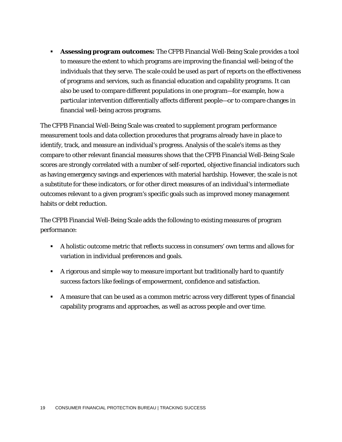**Assessing program outcomes:** The CFPB Financial Well-Being Scale provides a tool to measure the extent to which programs are improving the financial well-being of the individuals that they serve. The scale could be used as part of reports on the effectiveness of programs and services, such as financial education and capability programs. It can also be used to compare different populations in one program—for example, how a particular intervention differentially affects different people—or to compare changes in financial well-being across programs.

The CFPB Financial Well-Being Scale was created to supplement program performance measurement tools and data collection procedures that programs already have in place to identify, track, and measure an individual's progress. Analysis of the scale's items as they compare to other relevant financial measures shows that the CFPB Financial Well-Being Scale scores are strongly correlated with a number of self-reported, objective financial indicators such as having emergency savings and experiences with material hardship. However, the scale is not a substitute for these indicators, or for other direct measures of an individual's intermediate outcomes relevant to a given program's specific goals such as improved money management habits or debt reduction.

The CFPB Financial Well-Being Scale adds the following to existing measures of program performance:

- A holistic outcome metric that reflects success in consumers' own terms and allows for variation in individual preferences and goals.
- A rigorous and simple way to measure important but traditionally hard to quantify success factors like feelings of empowerment, confidence and satisfaction.
- A measure that can be used as a common metric across very different types of financial capability programs and approaches, as well as across people and over time.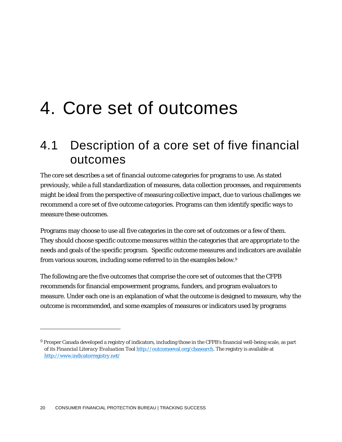# 4. Core set of outcomes

## 4.1 Description of a core set of five financial outcomes

The core set describes a set of financial outcome categories for programs to use. As stated previously, while a full standardization of measures, data collection processes, and requirements might be ideal from the perspective of measuring collective impact, due to various challenges we recommend a core set of five *outcome categories*. Programs can then identify specific ways to measure these outcomes.

Programs may choose to use all five categories in the core set of outcomes or a few of them. They should choose specific outcome *measures* within the categories that are appropriate to the needs and goals of the specific program. Specific outcome measures and indicators are available from various sources, including some referred to in the examples below.9

The following are the five outcomes that comprise the core set of outcomes that the CFPB recommends for financial empowerment programs, funders, and program evaluators to measure. Under each one is an explanation of what the outcome is designed to measure, why the outcome is recommended, and some examples of measures or indicators used by programs

<u>.</u>

<sup>9</sup> Prosper Canada developed a registry of indicators, including those in the CFPB's financial well-being scale, as part of its *Financial Literacy Evaluation Tool* http://outcomeeval.org/cbasearch. The registry is available at http://www.indicatorregistry.net/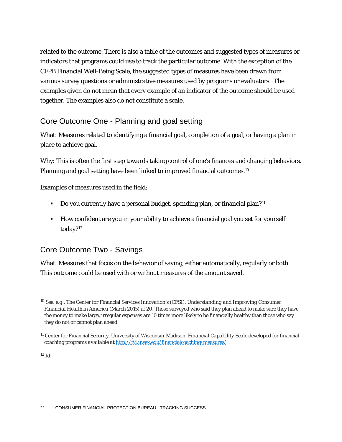related to the outcome. There is also a table of the outcomes and suggested types of measures or indicators that programs could use to track the particular outcome. With the exception of the CFPB Financial Well-Being Scale, the suggested types of measures have been drawn from various survey questions or administrative measures used by programs or evaluators. The examples given do not mean that every example of an indicator of the outcome should be used together. The examples also do not constitute a scale.

## Core Outcome One - Planning and goal setting

What: Measures related to identifying a financial goal, completion of a goal, or having a plan in place to achieve goal.

Why: This is often the first step towards taking control of one's finances and changing behaviors. Planning and goal setting have been linked to improved financial outcomes.<sup>10</sup>

Examples of measures used in the field:

- Do you currently have a personal budget, spending plan, or financial plan?<sup>11</sup>
- How confident are you in your ability to achieve a financial goal you set for yourself today?12

## Core Outcome Two - Savings

What: Measures that focus on the behavior of saving, either automatically, regularly or both. This outcome could be used with or without measures of the amount saved.

 $\overline{a}$ 

<sup>10</sup> *See. e.g.,* The Center for Financial Services Innovation's (CFSI), *Understanding and Improving Consumer Financial Health in America* (March 2015) at 20. Those surveyed who said they plan ahead to make sure they have the money to make large, irregular expenses are 10 times more likely to be financially healthy than those who say they do not or cannot plan ahead.

<sup>11</sup> Center for Financial Security, University of Wisconsin-Madison, *Financial Capability Scale* developed for financial coaching programs *available at* http://fyi.uwex.edu/financialcoaching/measures/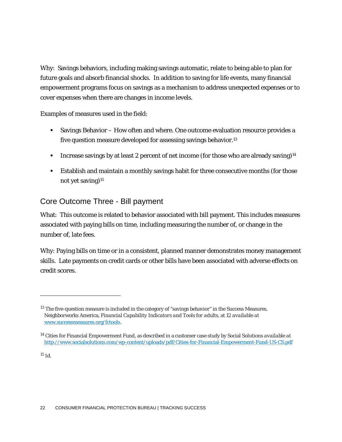Why: Savings behaviors, including making savings automatic, relate to being able to plan for future goals and absorb financial shocks. In addition to saving for life events, many financial empowerment programs focus on savings as a mechanism to address unexpected expenses or to cover expenses when there are changes in income levels.

Examples of measures used in the field:

- Savings Behavior How often and where. One outcome evaluation resource provides a five question measure developed for assessing savings behavior.13
- Increase savings by at least 2 percent of net income (for those who are already saving)<sup>14</sup>
- Establish and maintain a monthly savings habit for three consecutive months (for those not yet saving)15

## Core Outcome Three - Bill payment

What: This outcome is related to behavior associated with bill payment. This includes measures associated with paying bills on time, including measuring the number of, or change in the number of, late fees.

Why: Paying bills on time or in a consistent, planned manner demonstrates money management skills. Late payments on credit cards or other bills have been associated with adverse effects on credit scores.

<sup>15</sup> *Id*.

 $\overline{a}$ 

 $13$  The five-question measure is included in the category of "savings behavior" in the Success Measures, Neighborworks America, *Financial Capability Indicators and Tools for adults*, at 12 *available at* www.successmeasures.org/fctools.

<sup>14</sup> Cities for Financial Empowerment Fund, as described in a customer case study by Social Solutions *available at* http://www.socialsolutions.com/wp-content/uploads/pdf/Cities-for-Financial-Empowerment-Fund-US-CS.pdf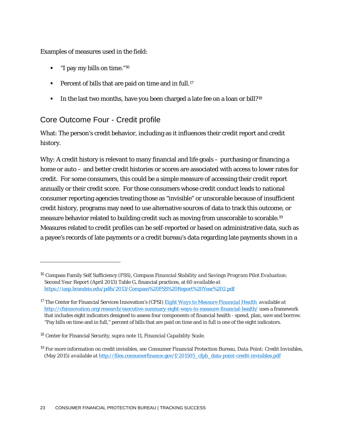Examples of measures used in the field:

 $\blacksquare$  "I pay my bills on time."<sup>16</sup>

 $\overline{a}$ 

- **Percent of bills that are paid on time and in full.**<sup>17</sup>
- In the last two months, have you been charged a late fee on a loan or bill?<sup>18</sup>

## Core Outcome Four - Credit profile

What: The person's credit behavior, including as it influences their credit report and credit history.

Why: A credit history is relevant to many financial and life goals – purchasing or financing a home or auto – and better credit histories or scores are associated with access to lower rates for credit. For some consumers, this could be a simple measure of accessing their credit report annually or their credit score. For those consumers whose credit conduct leads to national consumer reporting agencies treating those as "invisible" or unscorable because of insufficient credit history, programs may need to use alternative sources of data to track this outcome, or measure behavior related to building credit such as moving from unscorable to scorable.19 Measures related to credit profiles can be self-reported or based on administrative data, such as a payee's records of late payments or a credit bureau's data regarding late payments shown in a

<sup>16</sup> Compass Family Self Sufficiency (FSS), *Compass Financial Stability and Savings Program Pilot Evaluation: Second Year Report (*April 2013) Table G, financial practices, at 60 *available at* https://iasp.brandeis.edu/pdfs/2013/Compass%20FSS%20Report%20Year%202.pdf

<sup>17</sup> The Center for Financial Services Innovation's (CFSI) *Eight Ways to Measure Financial Health available at* http://cfsinnovation.org/research/executive-summary-eight-ways-to-measure-financial-health/ uses a framework that includes eight indicators designed to assess four components of financial health - spend, plan, save and borrow. "Pay bills on time and in full," percent of bills that are paid on time and in full is one of the eight indicators.

<sup>18</sup> Center for Financial Security, *supra* note 11, *Financial Capability Scale*.

<sup>19</sup> For more information on credit invisibles, see Consumer Financial Protection Bureau, *Data Point: Credit Invisibles,*  (May 2015) *available at* http://files.consumerfinance.gov/f/201505\_cfpb\_data-point-credit-invisibles.pdf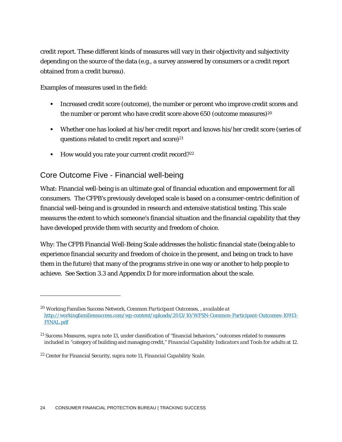credit report. These different kinds of measures will vary in their objectivity and subjectivity depending on the source of the data (e.g., a survey answered by consumers or a credit report obtained from a credit bureau).

Examples of measures used in the field:

- Increased credit score (outcome), the number or percent who improve credit scores and the number or percent who have credit score above 650 (outcome measures)<sup>20</sup>
- Whether one has looked at his/her credit report and knows his/her credit score (series of questions related to credit report and score)<sup>21</sup>
- How would you rate your current credit record?<sup>22</sup>

## Core Outcome Five - Financial well-being

What: Financial well-being is an ultimate goal of financial education and empowerment for all consumers. The CFPB's previously developed scale is based on a consumer-centric definition of financial well-being and is grounded in research and extensive statistical testing. This scale measures the extent to which someone's financial situation and the financial capability that they have developed provide them with security and freedom of choice.

Why: The CFPB Financial Well-Being Scale addresses the holistic financial state (being able to experience financial security and freedom of choice in the present, and being on track to have them in the future) that many of the programs strive in one way or another to help people to achieve. See Section 3.3 and Appendix D for more information about the scale.

 $\overline{a}$ 

<sup>20</sup> Working Families Success Network*, Common Participant Outcomes*, , *available at* http://workingfamiliessuccess.com/wp-content/uploads/2013/10/WFSN-Common-Participant-Outcomes-10913- FINAL.pdf

<sup>21</sup> Success Measures, *supra* note 13, under classification of "financial behaviors," outcomes related to measures included in "category of building and managing credit," *Financial Capability Indicators and Tools for adults* at 12.

<sup>22</sup> Center for Financial Security, *supra* note 11, *Financial Capability Scale*.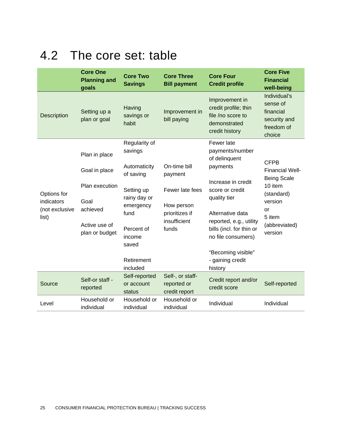## 4.2 The core set: table

|                                                      | <b>Core One</b><br><b>Planning and</b><br>goals                       | <b>Core Two</b><br><b>Savings</b>                                                              | <b>Core Three</b><br><b>Bill payment</b>                                 | <b>Core Four</b><br><b>Credit profile</b>                                                                                                                                                        | <b>Core Five</b><br><b>Financial</b><br>well-being                                                 |
|------------------------------------------------------|-----------------------------------------------------------------------|------------------------------------------------------------------------------------------------|--------------------------------------------------------------------------|--------------------------------------------------------------------------------------------------------------------------------------------------------------------------------------------------|----------------------------------------------------------------------------------------------------|
| Description                                          | Setting up a<br>plan or goal                                          | Having<br>savings or<br>habit                                                                  | Improvement in<br>bill paying                                            | Improvement in<br>credit profile; thin<br>file /no score to<br>demonstrated<br>credit history                                                                                                    | Individual's<br>sense of<br>financial<br>security and<br>freedom of<br>choice                      |
|                                                      | Plan in place                                                         | Regularity of<br>savings                                                                       |                                                                          | Fewer late<br>payments/number<br>of delinquent                                                                                                                                                   |                                                                                                    |
|                                                      | Goal in place                                                         | Automaticity<br>of saving                                                                      | On-time bill<br>payment                                                  | payments                                                                                                                                                                                         | <b>CFPB</b><br><b>Financial Well-</b>                                                              |
| Options for<br>indicators<br>(not exclusive<br>list) | Plan execution<br>Goal<br>achieved<br>Active use of<br>plan or budget | Setting up<br>rainy day or<br>emergency<br>fund<br>Percent of<br>income<br>saved<br>Retirement | Fewer late fees<br>How person<br>prioritizes if<br>insufficient<br>funds | Increase in credit<br>score or credit<br>quality tier<br>Alternative data<br>reported, e.g., utility<br>bills (incl. for thin or<br>no file consumers)<br>"Becoming visible"<br>- gaining credit | <b>Being Scale</b><br>10 item<br>(standard)<br>version<br>or<br>5 item<br>(abbreviated)<br>version |
|                                                      |                                                                       | included<br>Self-reported                                                                      | Self-, or staff-                                                         | history                                                                                                                                                                                          |                                                                                                    |
| Source                                               | Self-or staff -<br>reported                                           | or account<br>status                                                                           | reported or<br>credit report                                             | Credit report and/or<br>credit score                                                                                                                                                             | Self-reported                                                                                      |
| Level                                                | Household or<br>individual                                            | Household or<br>individual                                                                     | Household or<br>individual                                               | Individual                                                                                                                                                                                       | Individual                                                                                         |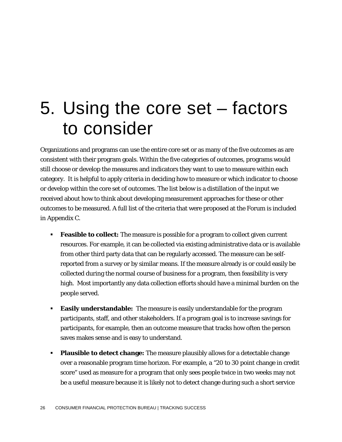# 5. Using the core set – factors to consider

Organizations and programs can use the entire core set or as many of the five outcomes as are consistent with their program goals. Within the five categories of outcomes, programs would still choose or develop the measures and indicators they want to use to measure within each category. It is helpful to apply criteria in deciding how to measure or which indicator to choose or develop within the core set of outcomes. The list below is a distillation of the input we received about how to think about developing measurement approaches for these or other outcomes to be measured. A full list of the criteria that were proposed at the Forum is included in Appendix C.

- **Feasible to collect:** The measure is possible for a program to collect given current resources. For example, it can be collected via existing administrative data or is available from other third party data that can be regularly accessed. The measure can be selfreported from a survey or by similar means. If the measure already is or could easily be collected during the normal course of business for a program, then feasibility is very high. Most importantly any data collection efforts should have a minimal burden on the people served.
- **Easily understandable:** The measure is easily understandable for the program participants, staff, and other stakeholders. If a program goal is to increase savings for participants, for example, then an outcome measure that tracks how often the person saves makes sense and is easy to understand.
- **Plausible to detect change:** The measure plausibly allows for a detectable change over a reasonable program time horizon. For example, a "20 to 30 point change in credit score" used as measure for a program that only sees people twice in two weeks may not be a useful measure because it is likely not to detect change during such a short service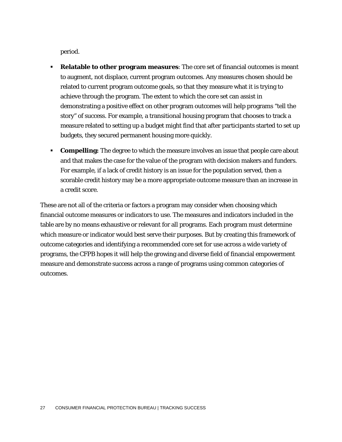period.

- **Relatable to other program measures**: The core set of financial outcomes is meant to augment, not displace, current program outcomes. Any measures chosen should be related to current program outcome goals, so that they measure what it is trying to achieve through the program. The extent to which the core set can assist in demonstrating a positive effect on other program outcomes will help programs "tell the story" of success. For example, a transitional housing program that chooses to track a measure related to setting up a budget might find that after participants started to set up budgets, they secured permanent housing more quickly.
- **Compelling:** The degree to which the measure involves an issue that people care about and that makes the case for the value of the program with decision makers and funders. For example, if a lack of credit history is an issue for the population served, then a scorable credit history may be a more appropriate outcome measure than an increase in a credit score.

These are not all of the criteria or factors a program may consider when choosing which financial outcome measures or indicators to use. The measures and indicators included in the table are by no means exhaustive or relevant for all programs. Each program must determine which measure or indicator would best serve their purposes. But by creating this framework of outcome categories and identifying a recommended core set for use across a wide variety of programs, the CFPB hopes it will help the growing and diverse field of financial empowerment measure and demonstrate success across a range of programs using common categories of outcomes.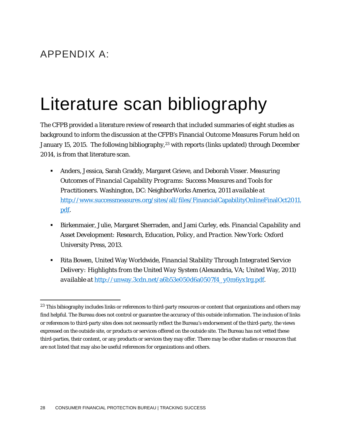## APPENDIX A:

 $\overline{a}$ 

# Literature scan bibliography

The CFPB provided a literature review of research that included summaries of eight studies as background to inform the discussion at the CFPB's Financial Outcome Measures Forum held on January 15, 2015. The following bibliography,<sup>23</sup> with reports (links updated) through December 2014, is from that literature scan.

- Anders, Jessica, Sarah Graddy, Margaret Grieve, and Deborah Visser. *Measuring Outcomes of Financial Capability Programs: Success Measures and Tools for Practitioners.* Washington, DC: NeighborWorks America, 2011 *available at* http://www.successmeasures.org/sites/all/files/FinancialCapabilityOnlineFinalOct2011. pdf.
- Birkenmaier, Julie, Margaret Sherraden, and Jami Curley, eds. *Financial Capability and Asset Development: Research, Education, Policy, and Practice*. New York: Oxford University Press, 2013.
- Rita Bowen, United Way Worldwide*, Financial Stability Through Integrated Service Delivery: Highlights from the United Way System* (Alexandria, VA; United Way, 2011) *available at* http://unway.3cdn.net/a6b53e050d6a0507f4\_y0m6yx1rg.pdf.

<sup>&</sup>lt;sup>23</sup> This bibiography includes links or references to third-party resources or content that organizations and others may find helpful. The Bureau does not control or guarantee the accuracy of this outside information. The inclusion of links or references to third-party sites does not necessarily reflect the Bureau's endorsement of the third-party, the views expressed on the outside site, or products or services offered on the outside site. The Bureau has not vetted these third-parties, their content, or any products or services they may offer. There may be other studies or resources that are not listed that may also be useful references for organizations and others.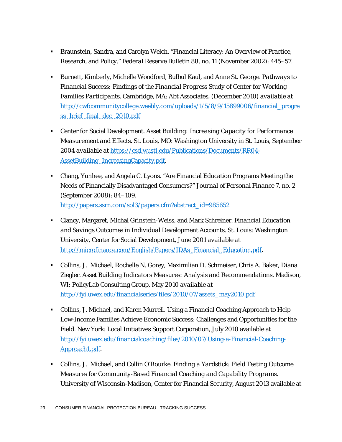- Braunstein, Sandra, and Carolyn Welch. "Financial Literacy: An Overview of Practice, Research, and Policy." *Federal Reserve Bulletin* 88, no. 11 (November 2002): 445–57.
- Burnett, Kimberly, Michelle Woodford, Bulbul Kaul, and Anne St. George. *Pathways to Financial Success: Findings of the Financial Progress Study of Center for Working Families Participants*. Cambridge, MA: Abt Associates, (December 2010) *available at* http://cwfcommunitycollege.weebly.com/uploads/1/5/8/9/15899006/financial\_progre ss\_brief\_final\_dec\_2010.pdf
- Center for Social Development. *Asset Building: Increasing Capacity for Performance Measurement and Effects*. St. Louis, MO: Washington University in St. Louis, September 2004 *available at* https://csd.wustl.edu/Publications/Documents/RR04- AssetBuilding\_IncreasingCapacity.pdf.
- Chang, Yunhee, and Angela C. Lyons. "Are Financial Education Programs Meeting the Needs of Financially Disadvantaged Consumers?" *Journal of Personal Finance* 7, no. 2 (September 2008): 84–109. http://papers.ssrn.com/sol3/papers.cfm?abstract\_id=985652
- Clancy, Margaret, Michal Grinstein-Weiss, and Mark Schreiner. *Financial Education and Savings Outcomes in Individual Development Accounts*. St. Louis: Washington University, Center for Social Development, June 2001 *available at* http://microfinance.com/English/Papers/IDAs\_Financial\_Education.pdf.
- Collins, J. Michael, Rochelle N. Gorey, Maximilian D. Schmeiser, Chris A. Baker, Diana Ziegler. *Asset Building Indicators Measures: Analysis and Recommendations*. Madison, WI: PolicyLab Consulting Group, May 2010 *available at* http://fyi.uwex.edu/financialseries/files/2010/07/assets\_may2010.pdf
- Collins, J. Michael, and Karen Murrell. Using a Financial Coaching Approach to Help Low-Income Families Achieve Economic Success: Challenges and Opportunities for the Field. New York: Local Initiatives Support Corporation, July 2010 available at http://fyi.uwex.edu/financialcoaching/files/2010/07/Using-a-Financial-Coaching-Approach1.pdf.
- Collins, J. Michael, and Collin O'Rourke. *Finding a Yardstick: Field Testing Outcome Measures for Community-Based Financial Coaching and Capability Programs*. University of Wisconsin-Madison, Center for Financial Security, August 2013 available at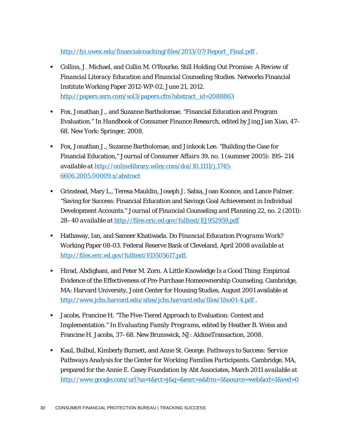http://fyi.uwex.edu/financialcoaching/files/2013/07/Report\_Final.pdf .

- Collins, J. Michael, and Collin M. O'Rourke. *Still Holding Out Promise: A Review of Financial Literacy Education and Financial Counseling Studies*. Networks Financial Institute Working Paper 2012-WP-02, June 21, 2012. http://papers.ssrn.com/sol3/papers.cfm?abstract\_id=2088863
- Fox, Jonathan J., and Suzanne Bartholomae. "Financial Education and Program Evaluation." In *Handbook of Consumer Finance Research*, edited by Jing Jian Xiao, 47– 68. New York: Springer, 2008.
- Fox, Jonathan J., Suzanne Bartholomae, and Jinkook Lee. "Building the Case for Financial Education," *Journal of Consumer Affairs* 39, no. 1 (summer 2005): 195–214 *available at* http://onlinelibrary.wiley.com/doi/10.1111/j.1745- 6606.2005.00009.x/abstract
- Grinstead, Mary L., Teresa Mauldin, Joseph J. Sabia, Joan Koonce, and Lance Palmer. "Saving for Success: Financial Education and Savings Goal Achievement in Individual Development Accounts." *Journal of Financial Counseling and Planning* 22, no. 2 (2011): 28–40 *available at* http://files.eric.ed.gov/fulltext/EJ952959.pdf
- Hathaway, Ian, and Sameer Khatiwada. *Do Financial Education Programs Work?* Working Paper 08-03. Federal Reserve Bank of Cleveland, April 2008 *available at* http://files.eric.ed.gov/fulltext/ED505617.pdf.
- Hirad, Abdighani, and Peter M. Zorn. A Little Knowledge Is a Good Thing: Empirical Evidence of the Effectiveness of Pre-Purchase Homeownership Counseling. Cambridge, MA: Harvard University, Joint Center for Housing Studies, August 2001 available at http://www.jchs.harvard.edu/sites/jchs.harvard.edu/files/liho01-4.pdf .
- Jacobs, Francine H. "The Five-Tiered Approach to Evaluation: Context and Implementation." In *Evaluating Family Programs*, edited by Heather B. Weiss and Francine H. Jacobs, 37–68. New Brunswick, NJ: AldineTransaction, 2008.
- Kaul, Bulbul, Kimberly Burnett, and Anne St. George. *Pathways to Success: Service Pathways Analysis for the Center for Working Families Participants*. Cambridge, MA, prepared for the Annie E. Casey Foundation by Abt Associates, March 2011 *available at* http://www.google.com/url?sa=t&rct=j&q=&esrc=s&frm=1&source=web&cd=1&ved=0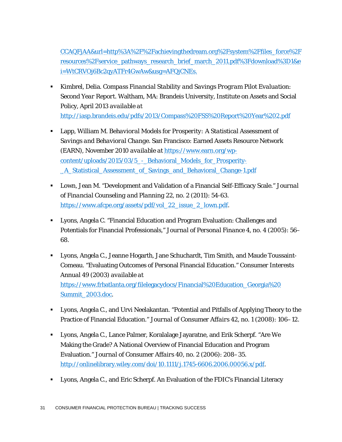CCAQFjAA&url=http%3A%2F%2Fachievingthedream.org%2Fsystem%2Ffiles\_force%2F resources%2Fservice\_pathways\_research\_brief\_march\_2011.pdf%3Fdownload%3D1&e i=WtCRVOj6Bc2qyATFr4GwAw&usg=AFQjCNEs.

- Kimbrel, Delia. *Compass Financial Stability and Savings Program Pilot Evaluation: Second Year Report*. Waltham, MA: Brandeis University, Institute on Assets and Social Policy, April 2013 *available at* http://iasp.brandeis.edu/pdfs/2013/Compass%20FSS%20Report%20Year%202.pdf
- Lapp, William M. *Behavioral Models for Prosperity: A Statistical Assessment of Savings and Behavioral Change.* San Francisco: Earned Assets Resource Network (EARN), November 2010 *available at* https://www.earn.org/wpcontent/uploads/2015/03/5\_-\_Behavioral\_Models\_for\_Prosperity- \_A\_Statistical\_Assessment\_of\_Savings\_and\_Behavioral\_Change-1.pdf
- Lown, Jean M. "Development and Validation of a Financial Self-Efficacy Scale." *Journal of Financial Counseling and Planning* 22, no. 2 (2011): 54-63. https://www.afcpe.org/assets/pdf/vol\_22\_issue\_2\_lown.pdf.
- Lyons, Angela C. "Financial Education and Program Evaluation: Challenges and Potentials for Financial Professionals," *Journal of Personal Finance* 4, no. 4 (2005): 56– 68.
- Lyons, Angela C., Jeanne Hogarth, Jane Schuchardt, Tim Smith, and Maude Toussaint-Comeau. "Evaluating Outcomes of Personal Financial Education." *Consumer Interests Annual* 49 (2003) *available at* https://www.frbatlanta.org/filelegacydocs/Financial%20Education\_Georgia%20 Summit\_2003.doc.
- Lyons, Angela C., and Urvi Neelakantan. "Potential and Pitfalls of Applying Theory to the Practice of Financial Education." *Journal of Consumer Affairs* 42, no. 1 (2008): 106–12.
- Lyons, Angela C., Lance Palmer, Koralalage Jayaratne, and Erik Scherpf. "Are We Making the Grade? A National Overview of Financial Education and Program Evaluation." *Journal of Consumer Affairs* 40, no. 2 (2006): 208–35. http://onlinelibrary.wiley.com/doi/10.1111/j.1745-6606.2006.00056.x/pdf.
- Lyons, Angela C., and Eric Scherpf. An Evaluation of the FDIC's Financial Literacy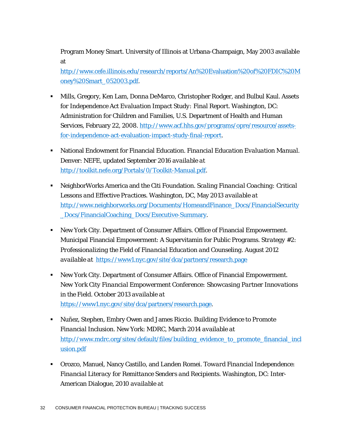Program Money Smart. University of Illinois at Urbana-Champaign, May 2003 available at

http://www.cefe.illinois.edu/research/reports/An%20Evaluation%20of%20FDIC%20M oney%20Smart\_052003.pdf.

- Mills, Gregory, Ken Lam, Donna DeMarco, Christopher Rodger, and Bulbul Kaul. *Assets for Independence Act Evaluation Impact Study: Final Report*. Washington, DC: Administration for Children and Families, U.S. Department of Health and Human Services, February 22, 2008. http://www.acf.hhs.gov/programs/opre/resource/assetsfor-independence-act-evaluation-impact-study-final-report.
- National Endowment for Financial Education. *Financial Education Evaluation Manual*. Denver: NEFE, updated September 2016 *available at* http://toolkit.nefe.org/Portals/0/Toolkit-Manual.pdf.
- NeighborWorks America and the Citi Foundation. *Scaling Financial Coaching: Critical Lessons and Effective Practices*. Washington, DC, May 2013 *available at* http://www.neighborworks.org/Documents/HomeandFinance\_Docs/FinancialSecurity \_Docs/FinancialCoaching\_Docs/Executive-Summary.
- New York City. Department of Consumer Affairs. Office of Financial Empowerment. Municipal Financial Empowerment: A Supervitamin for Public Programs. *Strategy #2: Professionalizing the Field of Financial Education and Counseling*. August 2012 *available at* https://www1.nyc.gov/site/dca/partners/research.page
- New York City. Department of Consumer Affairs. Office of Financial Empowerment. *New York City Financial Empowerment Conference: Showcasing Partner Innovations in the Field.* October 2013 *available at* https://www1.nyc.gov/site/dca/partners/research.page.
- Nuñez, Stephen, Embry Owen and James Riccio. *Building Evidence to Promote Financial Inclusion*. New York: MDRC, March 2014 *available at* http://www.mdrc.org/sites/default/files/building\_evidence\_to\_promote\_financial\_incl usion.pdf
- Orozco, Manuel, Nancy Castillo, and Landen Romei. *Toward Financial Independence: Financial Literacy for Remittance Senders and Recipients*. Washington, DC: Inter-American Dialogue, 2010 *available at*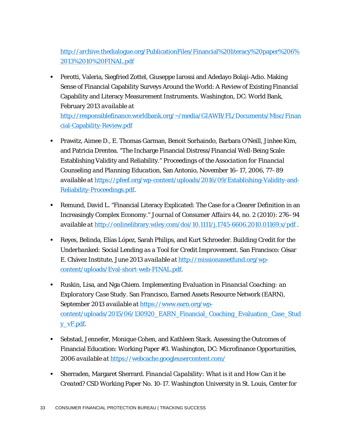http://archive.thedialogue.org/PublicationFiles/Financial%20literacy%20paper%206% 2013%2010%20FINAL.pdf

 Perotti, Valeria, Siegfried Zottel, Giuseppe Iarossi and Adedayo Bolaji-Adio. Making Sense of Financial Capability Surveys Around the World: A Review of Existing Financial Capability and Literacy Measurement Instruments. Washington, DC: World Bank, February 2013 *available at*

http://responsiblefinance.worldbank.org/~/media/GIAWB/FL/Documents/Misc/Finan cial-Capability-Review.pdf

- Prawitz, Aimee D., E. Thomas Garman, Benoit Sorhaindo, Barbara O'Neill, Jinhee Kim, and Patricia Drentea. "The Incharge Financial Distress/Financial Well-Being Scale: Establishing Validity and Reliability." *Proceedings of the Association for Financial Counseling and Planning Education*, San Antonio, November 16–17, 2006, 77–89 *available at* https://pfeef.org/wp-content/uploads/2016/09/Establishing-Validity-and-Reliability-Proceedings.pdf.
- Remund, David L. "Financial Literacy Explicated: The Case for a Clearer Definition in an Increasingly Complex Economy." *Journal of Consumer Affairs* 44, no. 2 (2010): 276–94 *available at* http://onlinelibrary.wiley.com/doi/10.1111/j.1745-6606.2010.01169.x/pdf .
- Reyes, Belinda, Elías López, Sarah Philips, and Kurt Schroeder. *Building Credit for the Underbanked: Social Lending as a Tool for Credit Improvement*. San Francisco: César E. Chávez Institute, June 2013 *available at* http://missionassetfund.org/wpcontent/uploads/Eval-short-web-FINAL.pdf.
- Ruskin, Lisa, and Nga Chiem. *Implementing Evaluation in Financial Coaching: an Exploratory Case Study*. San Francisco, Earned Assets Resource Network (EARN), September 2013 *available at* https://www.earn.org/wpcontent/uploads/2015/06/130920\_EARN\_Financial\_Coaching\_Evaluation\_Case\_Stud y\_vF.pdf.
- Sebstad, Jennefer, Monique Cohen, and Kathleen Stack. Assessing the Outcomes of Financial Education: Working Paper #3. Washington, DC: Microfinance Opportunities, 2006 *available at* https://webcache.googleusercontent.com/
- Sherraden, Margaret Sherrard. *Financial Capability: What is it and How Can it be Created?* CSD Working Paper No. 10-17. Washington University in St. Louis, Center for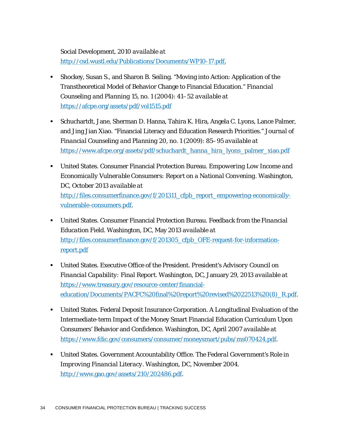### Social Development, 2010 *available at* http://csd.wustl.edu/Publications/Documents/WP10-17.pdf.

- Shockey, Susan S., and Sharon B. Seiling. "Moving into Action: Application of the Transtheoretical Model of Behavior Change to Financial Education." *Financial Counseling and Planning* 15, no. 1 (2004): 41–52 *available at* https://afcpe.org/assets/pdf/vol1515.pdf
- Schuchartdt, Jane, Sherman D. Hanna, Tahira K. Hira, Angela C. Lyons, Lance Palmer, and Jing Jian Xiao. "Financial Literacy and Education Research Priorities." *Journal of Financial Counseling and Planning* 20, no. 1 (2009): 85–95 *available at* https://www.afcpe.org/assets/pdf/schuchardt\_hanna\_hira\_lyons\_palmer\_xiao.pdf
- United States. Consumer Financial Protection Bureau. *Empowering Low Income and Economically Vulnerable Consumers: Report on a National Convening*. Washington, DC, October 2013 *available at* http://files.consumerfinance.gov/f/201311\_cfpb\_report\_empowering-economicallyvulnerable-consumers.pdf.
- United States. Consumer Financial Protection Bureau. *Feedback from the Financial Education Field*. Washington, DC, May 2013 *available at* http://files.consumerfinance.gov/f/201305\_cfpb\_OFE-request-for-informationreport.pdf
- United States. Executive Office of the President. *President's Advisory Council on Financial Capability: Final Report*. Washington, DC, January 29, 2013 *available at*  https://www.treasury.gov/resource-center/financialeducation/Documents/PACFC%20final%20report%20revised%2022513%20(8)\_R.pdf.
- United States. Federal Deposit Insurance Corporation. A Longitudinal Evaluation of the Intermediate-term Impact of the Money Smart Financial Education Curriculum Upon Consumers' Behavior and Confidence. Washington, DC, April 2007 *available at* https://www.fdic.gov/consumers/consumer/moneysmart/pubs/ms070424.pdf.
- United States. Government Accountability Office. *The Federal Government's Role in Improving Financial Literacy*. Washington, DC, November 2004. http://www.gao.gov/assets/210/202486.pdf.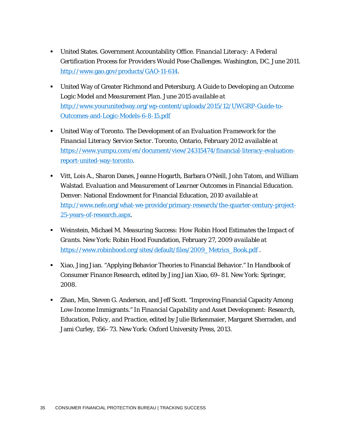- United States. Government Accountability Office. *Financial Literacy: A Federal Certification Process for Providers Would Pose Challenges*. Washington, DC, June 2011. http://www.gao.gov/products/GAO-11-614.
- United Way of Greater Richmond and Petersburg. *A Guide to Developing an Outcome Logic Model and Measurement Plan*. June 2015 *available at* http://www.yourunitedway.org/wp-content/uploads/2015/12/UWGRP-Guide-to-Outcomes-and-Logic-Models-6-8-15.pdf
- United Way of Toronto. *The Development of an Evaluation Framework for the Financial Literacy Service Sector*. Toronto, Ontario, February 2012 *available at* https://www.yumpu.com/en/document/view/24315474/financial-literacy-evaluationreport-united-way-toronto.
- Vitt, Lois A., Sharon Danes, Jeanne Hogarth, Barbara O'Neill, John Tatom, and William Walstad. *Evaluation and Measurement of Learner Outcomes in Financial Education*. Denver: National Endowment for Financial Education, 2010 *available at* http://www.nefe.org/what-we-provide/primary-research/the-quarter-century-project-25-years-of-research.aspx.
- Weinstein, Michael M. *Measuring Success: How Robin Hood Estimates the Impact of Grants*. New York: Robin Hood Foundation, February 27, 2009 *available at* https://www.robinhood.org/sites/default/files/2009\_Metrics\_Book.pdf .
- Xiao, Jing Jian. "Applying Behavior Theories to Financial Behavior." In *Handbook of Consumer Finance Research*, edited by Jing Jian Xiao, 69–81. New York: Springer, 2008.
- Zhan, Min, Steven G. Anderson, and Jeff Scott. "Improving Financial Capacity Among Low-Income Immigrants." In *Financial Capability and Asset Development: Research, Education, Policy, and Practice*, edited by Julie Birkenmaier, Margaret Sherraden, and Jami Curley, 156–73. New York: Oxford University Press, 2013.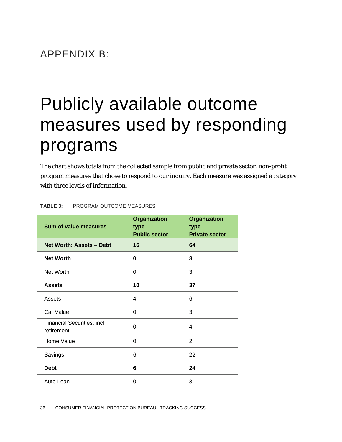## APPENDIX B:

# Publicly available outcome measures used by responding programs

The chart shows totals from the collected sample from public and private sector, non-profit program measures that chose to respond to our inquiry. Each measure was assigned a category with three levels of information.

| <b>Sum of value measures</b>             | <b>Organization</b><br>type<br><b>Public sector</b> | <b>Organization</b><br>type<br><b>Private sector</b> |
|------------------------------------------|-----------------------------------------------------|------------------------------------------------------|
| Net Worth: Assets - Debt                 | 16                                                  | 64                                                   |
| <b>Net Worth</b>                         | 0                                                   | 3                                                    |
| Net Worth                                | 0                                                   | 3                                                    |
| <b>Assets</b>                            | 10                                                  | 37                                                   |
| Assets                                   | 4                                                   | 6                                                    |
| Car Value                                | 0                                                   | 3                                                    |
| Financial Securities, incl<br>retirement | 0                                                   | 4                                                    |
| Home Value                               | 0                                                   | 2                                                    |
| Savings                                  | 6                                                   | 22                                                   |
| <b>Debt</b>                              | 6                                                   | 24                                                   |
| Auto Loan                                | 0                                                   | 3                                                    |

#### **TABLE 3:** PROGRAM OUTCOME MEASURES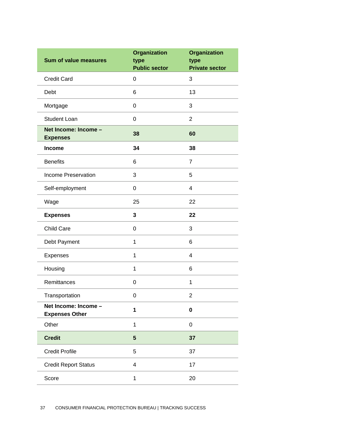| <b>Sum of value measures</b>                  | <b>Organization</b><br>type<br><b>Public sector</b> | <b>Organization</b><br>type<br><b>Private sector</b> |
|-----------------------------------------------|-----------------------------------------------------|------------------------------------------------------|
| <b>Credit Card</b>                            | $\pmb{0}$                                           | 3                                                    |
| Debt                                          | 6                                                   | 13                                                   |
| Mortgage                                      | 0                                                   | 3                                                    |
| <b>Student Loan</b>                           | 0                                                   | $\overline{2}$                                       |
| Net Income: Income -<br><b>Expenses</b>       | 38                                                  | 60                                                   |
| Income                                        | 34                                                  | 38                                                   |
| <b>Benefits</b>                               | $\,6$                                               | $\overline{7}$                                       |
| Income Preservation                           | 3                                                   | 5                                                    |
| Self-employment                               | $\boldsymbol{0}$                                    | $\overline{4}$                                       |
| Wage                                          | 25                                                  | 22                                                   |
| <b>Expenses</b>                               | 3                                                   | 22                                                   |
| <b>Child Care</b>                             | $\pmb{0}$                                           | 3                                                    |
| Debt Payment                                  | 1                                                   | 6                                                    |
| Expenses                                      | 1                                                   | 4                                                    |
| Housing                                       | 1                                                   | 6                                                    |
| Remittances                                   | $\mathbf 0$                                         | 1                                                    |
| Transportation                                | 0                                                   | $\overline{\mathbf{c}}$                              |
| Net Income: Income -<br><b>Expenses Other</b> | 1                                                   | 0                                                    |
| Other                                         | 1                                                   | 0                                                    |
| <b>Credit</b>                                 | 5                                                   | 37                                                   |
| <b>Credit Profile</b>                         | 5                                                   | 37                                                   |
| <b>Credit Report Status</b>                   | 4                                                   | 17                                                   |
| Score                                         | 1                                                   | 20                                                   |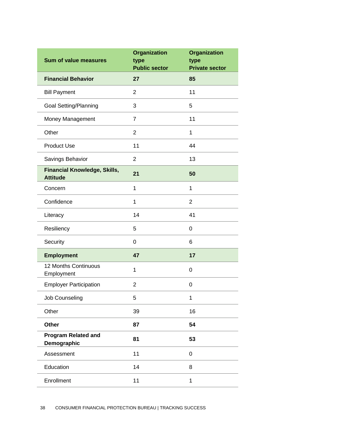| <b>Sum of value measures</b>                           | <b>Organization</b><br>type<br><b>Public sector</b> | <b>Organization</b><br>type<br><b>Private sector</b> |
|--------------------------------------------------------|-----------------------------------------------------|------------------------------------------------------|
| <b>Financial Behavior</b>                              | 27                                                  | 85                                                   |
| <b>Bill Payment</b>                                    | 2                                                   | 11                                                   |
| <b>Goal Setting/Planning</b>                           | 3                                                   | 5                                                    |
| Money Management                                       | $\overline{7}$                                      | 11                                                   |
| Other                                                  | $\overline{2}$                                      | 1                                                    |
| <b>Product Use</b>                                     | 11                                                  | 44                                                   |
| Savings Behavior                                       | 2                                                   | 13                                                   |
| <b>Financial Knowledge, Skills,</b><br><b>Attitude</b> | 21                                                  | 50                                                   |
| Concern                                                | $\mathbf 1$                                         | $\mathbf 1$                                          |
| Confidence                                             | 1                                                   | $\overline{2}$                                       |
| Literacy                                               | 14                                                  | 41                                                   |
| Resiliency                                             | 5                                                   | 0                                                    |
| Security                                               | 0                                                   | 6                                                    |
| <b>Employment</b>                                      | 47                                                  | 17                                                   |
| 12 Months Continuous<br>Employment                     | 1                                                   | 0                                                    |
| <b>Employer Participation</b>                          | $\overline{2}$                                      | 0                                                    |
| Job Counseling                                         | 5                                                   | $\mathbf{1}$                                         |
| Other                                                  | 39                                                  | 16                                                   |
| Other                                                  | 87                                                  | 54                                                   |
| <b>Program Related and</b><br>Demographic              | 81                                                  | 53                                                   |
| Assessment                                             | 11                                                  | 0                                                    |
| Education                                              | 14                                                  | 8                                                    |
| Enrollment                                             | 11                                                  | 1                                                    |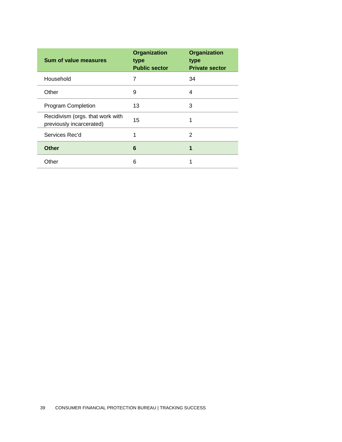| Sum of value measures                                        | Organization<br>type<br><b>Public sector</b> | Organization<br>type<br><b>Private sector</b> |
|--------------------------------------------------------------|----------------------------------------------|-----------------------------------------------|
| Household                                                    | 7                                            | 34                                            |
| Other                                                        | 9                                            | 4                                             |
| <b>Program Completion</b>                                    | 13                                           | 3                                             |
| Recidivism (orgs. that work with<br>previously incarcerated) | 15                                           | 1                                             |
| Services Rec'd                                               | 1                                            | 2                                             |
| <b>Other</b>                                                 | 6                                            | 1                                             |
| Other                                                        | 6                                            |                                               |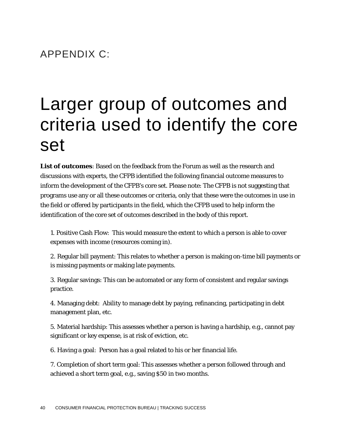## APPENDIX C:

# Larger group of outcomes and criteria used to identify the core set

**List of outcomes**: Based on the feedback from the Forum as well as the research and discussions with experts, the CFPB identified the following financial outcome measures to inform the development of the CFPB's core set. Please note: The CFPB is not suggesting that programs use any or all these outcomes or criteria, only that these were the outcomes in use in the field or offered by participants in the field, which the CFPB used to help inform the identification of the core set of outcomes described in the body of this report.

1. Positive Cash Flow: This would measure the extent to which a person is able to cover expenses with income (resources coming in).

2. Regular bill payment: This relates to whether a person is making on-time bill payments or is missing payments or making late payments.

3. Regular savings: This can be automated or any form of consistent and regular savings practice.

4. Managing debt: Ability to manage debt by paying, refinancing, participating in debt management plan, etc.

5. Material hardship: This assesses whether a person is having a hardship, e.g., cannot pay significant or key expense, is at risk of eviction, etc.

6. Having a goal: Person has a goal related to his or her financial life.

7. Completion of short term goal: This assesses whether a person followed through and achieved a short term goal, e.g., saving \$50 in two months.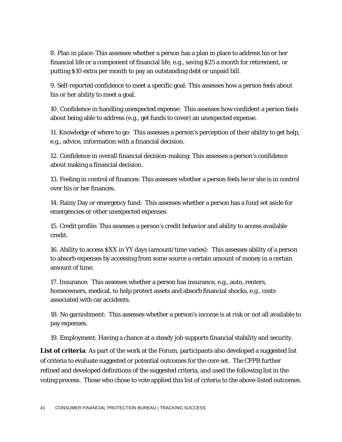8. Plan in place: This assesses whether a person has a plan in place to address his or her financial life or a component of financial life, e.g., saving \$25 a month for retirement, or putting \$10 extra per month to pay an outstanding debt or unpaid bill.

9. Self-reported confidence to meet a specific goal: This assesses how a person feels about his or her ability to meet a goal.

10. Confidence in handling unexpected expense: This assesses how confident a person feels about being able to address (e.g., get funds to cover) an unexpected expense.

11. Knowledge of where to go: This assesses a person's perception of their ability to get help, e.g., advice, information with a financial decision.

12. Confidence in overall financial decision-making: This assesses a person's confidence about making a financial decision.

13. Feeling in control of finances: This assesses whether a person feels he or she is in control over his or her finances.

14. Rainy Day or emergency fund: This assesses whether a person has a fund set aside for emergencies or other unexpected expenses.

15. Credit profile: This assesses a person's credit behavior and ability to access available credit.

16. Ability to access \$XX in YY days (amount/time varies): This assesses ability of a person to absorb expenses by accessing from some source a certain amount of money in a certain amount of time.

17. Insurance: This assesses whether a person has insurance, e.g., auto, renters, homeowners, medical, to help protect assets and absorb financial shocks, e.g., costs associated with car accidents.

18. No garnishment: This assesses whether a person's income is at risk or not all available to pay expenses.

19. Employment: Having a chance at a steady job supports financial stability and security.

**List of criteria**: As part of the work at the Forum, participants also developed a suggested list of criteria to evaluate suggested or potential outcomes for the core set. The CFPB further refined and developed definitions of the suggested criteria, and used the following list in the voting process. Those who chose to vote applied this list of criteria to the above-listed outcomes.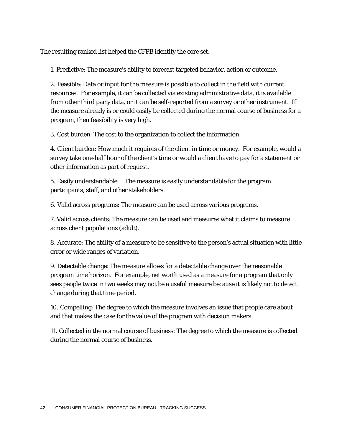The resulting ranked list helped the CFPB identify the core set.

1. Predictive: The measure's ability to forecast targeted behavior, action or outcome.

2. Feasible: Data or input for the measure is possible to collect in the field with current resources. For example, it can be collected via existing administrative data, it is available from other third party data, or it can be self-reported from a survey or other instrument. If the measure already is or could easily be collected during the normal course of business for a program, then feasibility is very high.

3. Cost burden: The cost to the organization to collect the information.

4. Client burden: How much it requires of the client in time or money. For example, would a survey take one-half hour of the client's time or would a client have to pay for a statement or other information as part of request.

5. Easily understandable: The measure is easily understandable for the program participants, staff, and other stakeholders.

6. Valid across programs: The measure can be used across various programs.

7. Valid across clients: The measure can be used and measures what it claims to measure across client populations (adult).

8. Accurate: The ability of a measure to be sensitive to the person's actual situation with little error or wide ranges of variation.

9. Detectable change: The measure allows for a detectable change over the reasonable program time horizon. For example, net worth used as a measure for a program that only sees people twice in two weeks may not be a useful measure because it is likely not to detect change during that time period.

10. Compelling: The degree to which the measure involves an issue that people care about and that makes the case for the value of the program with decision makers.

11. Collected in the normal course of business: The degree to which the measure is collected during the normal course of business.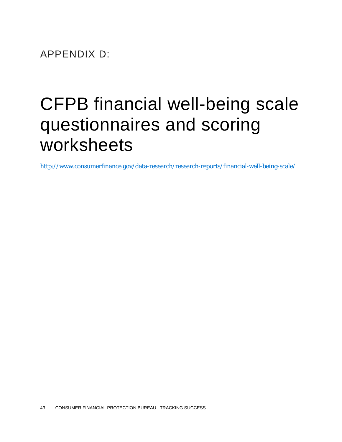APPENDIX D:

# CFPB financial well-being scale questionnaires and scoring worksheets

http://www.consumerfinance.gov/data-research/research-reports/financial-well-being-scale/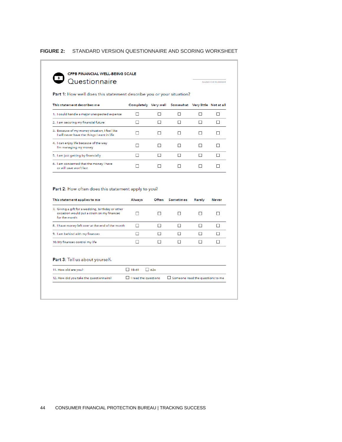#### **FIGURE 2:** STANDARD VERSION QUESTIONNAIRE AND SCORING WORKSHEET

#### CFPB FINANCIAL WELL-BEING SCALE  $\overline{\phantom{a}}$ Questionnaire

NAME OR NUMBER

Part 1: How well does this statement describe you or your situation?

| This statement describes me                                                                  |  | Completely Verywell Somewhat Verylittle Notatall |  |
|----------------------------------------------------------------------------------------------|--|--------------------------------------------------|--|
| 1. I could handle a major unexpected expense                                                 |  |                                                  |  |
| 2. I am securing my financial future                                                         |  |                                                  |  |
| 3. Because of my money situation, I feel like<br>I will never have the things I want in life |  |                                                  |  |
| 4. I can enjoy life because of the way<br>I'm managing my money                              |  |                                                  |  |
| 5. I am just getting by financially                                                          |  |                                                  |  |
| 6. I am concerned that the money I have<br>or will save won't last                           |  |                                                  |  |

#### Part 2: How often does this statement apply to you?

| This statement applies to me                                                                                     | Always                                                                 | Often  | Sometimes | Rarely | <b>Never</b> |  |
|------------------------------------------------------------------------------------------------------------------|------------------------------------------------------------------------|--------|-----------|--------|--------------|--|
| 7. Giving a gift for a wedding, birthday or other<br>occasion would put a strain on my finances<br>for the month |                                                                        |        |           |        |              |  |
| 8. I have money left over at the end of the month                                                                |                                                                        |        |           |        |              |  |
| 9. I am behind with my finances                                                                                  |                                                                        |        | П         |        |              |  |
| 10. My finances control my life                                                                                  |                                                                        |        |           |        |              |  |
| <b>Part 3:</b> Tell us about yourself.                                                                           |                                                                        |        |           |        |              |  |
| 11. How old are you?                                                                                             | $18 - 61$                                                              | $162+$ |           |        |              |  |
| 12. How did you take the questionnaire?                                                                          | $\Box$ I read the questions<br>$\Box$ Someone read the questions to me |        |           |        |              |  |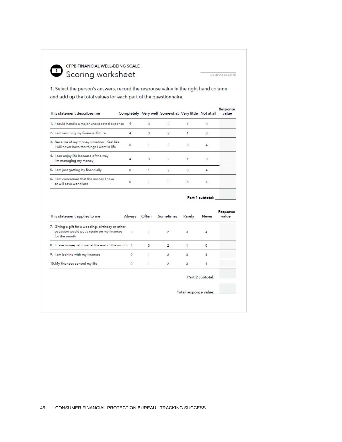

### CFPB FINANCIAL WELL-BEING SCALE Scoring worksheet

NAME OR NUMBER

1. Select the person's answers, record the response value in the right hand column and add up the total values for each part of the questionnaire.

| This statement describes me                                                                  |                       |   | Completely Very well Somewhat Very little Not at all |                |          | Response<br>value |
|----------------------------------------------------------------------------------------------|-----------------------|---|------------------------------------------------------|----------------|----------|-------------------|
| 1. I could handle a major unexpected expense                                                 |                       | 3 | $\overline{2}$                                       |                | $\Omega$ |                   |
| 2. I am securing my financial future                                                         |                       | 3 | $\overline{2}$                                       | 1              | $\circ$  |                   |
| 3. Because of my money situation, I feel like<br>I will never have the things I want in life | 0                     |   | $\overline{2}$                                       | 3              |          |                   |
| 4. I can enjoy life because of the way<br>I'm managing my money                              |                       | 3 |                                                      |                |          |                   |
| 5. I am just getting by financially                                                          | Ō                     |   | $\mathfrak{D}$                                       | 3              |          |                   |
| 6. I am concerned that the money I have<br>or will save won't last                           | 889<br>$\overline{0}$ |   | $\overline{2}$                                       | $\overline{3}$ |          |                   |
|                                                                                              |                       |   |                                                      |                |          |                   |

| This statement applies to me                                                                                     |          |                | Always Often Sometimes | Rarely | Never                 | Response<br>value |
|------------------------------------------------------------------------------------------------------------------|----------|----------------|------------------------|--------|-----------------------|-------------------|
| 7. Giving a gift for a wedding, birthday or other<br>occasion would put a strain on my finances<br>for the month | $\Omega$ | $\overline{1}$ | $\overline{2}$         | 3      | 4                     |                   |
| 8. I have money left over at the end of the month 4                                                              |          | 3              | $\overline{2}$         |        | 0                     |                   |
| 9. I am behind with my finances                                                                                  | $\Omega$ |                | $\overline{2}$         | 3      | 4                     |                   |
| 10. My finances control my life                                                                                  | $\Omega$ |                | $\mathfrak{D}$         | 3      | 4                     |                   |
|                                                                                                                  |          |                |                        |        | Part 2 subtotal:      |                   |
|                                                                                                                  |          |                |                        |        | Total response value: |                   |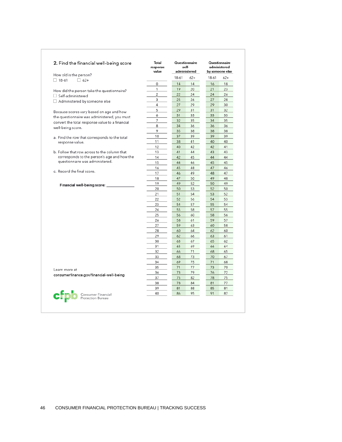| 2. Find the financial well-being score                           | Total<br>response<br>value |       | Questionnaire<br>self-<br>administered |       | Questionnaire<br>administered<br>by someone else |  |
|------------------------------------------------------------------|----------------------------|-------|----------------------------------------|-------|--------------------------------------------------|--|
| How old is the person?                                           |                            | 18-61 | $62+$                                  | 18-61 | $62+$                                            |  |
| $\Box$ 18-61<br>$\Box$ 62+                                       | 0                          | 14    | 14                                     | 16    | 18                                               |  |
|                                                                  | 1                          | 19    | 20                                     | 21    | 23                                               |  |
| How did the person take the questionnaire?                       | $\overline{c}$             | 22    | 24                                     | 24    | 26                                               |  |
| Self-administered                                                | 3                          | 25    | 26                                     | 27    | 28                                               |  |
| $\Box$ Administered by someone else                              | 4                          | 27    | 29                                     | 29    | 30                                               |  |
|                                                                  | 5                          | 29    | 31                                     | 31    | 32                                               |  |
| Because scores vary based on age and how                         | 6                          | 31    | 33                                     | 33    | 33                                               |  |
| the questionnaire was administered, you must                     | 7                          | 32    | 35                                     | 34    | 35                                               |  |
| convert the total response value to a financial                  | 8                          | 34    | 36                                     | 36    | 36                                               |  |
| well-being score.                                                | 9                          | 35    | 38                                     | 38    | 38                                               |  |
|                                                                  | 10                         | 37    | 39                                     | 39    | 39                                               |  |
| a. Find the row that corresponds to the total<br>response value. | 11                         | 38    | 41                                     | 40    | 40                                               |  |
|                                                                  | 12                         | 40    | 42                                     | 42    | 41                                               |  |
| b. Follow that row across to the column that                     | 13                         | 41    | 44                                     | 43    | 43                                               |  |
| corresponds to the person's age and how the                      | 14                         | 42    | 45                                     | 44    | 44                                               |  |
| questionnaire was administered.                                  | 15                         | 44    | 46                                     | 45    | 45                                               |  |
|                                                                  | 16                         | 45    | 48                                     | 47    | 46                                               |  |
| c. Record the final score.                                       | 17                         | 46    | 49                                     | 48    | 47                                               |  |
|                                                                  | 18                         | 47    | 50                                     | 49    | 48                                               |  |
|                                                                  | 19                         | 49    | 52                                     | 50    | 49                                               |  |
| Financial well-being score:                                      | 20                         | 50    | 53                                     | 52    | 50                                               |  |
|                                                                  | 21                         | 51    | 54                                     | 53    | 52                                               |  |
|                                                                  | 22                         | 52    | 56                                     | 54    | 53                                               |  |
|                                                                  | 23                         | 54    | 57                                     | 55    | 54                                               |  |
|                                                                  | 24                         | 55    | 58                                     | 57    | 55                                               |  |
|                                                                  | 25                         | 56    | 60                                     | 58    | 56                                               |  |
|                                                                  | 26                         | 58    | 61                                     | 59    | 57                                               |  |
|                                                                  | 27                         | 59    | 63                                     | 60    | 58                                               |  |
|                                                                  | 28                         | 60    | 64                                     | 62    | 60                                               |  |
|                                                                  | 29                         | 62    | 66                                     | 63    | 61                                               |  |
|                                                                  | 30                         | 63    | 67                                     | 65    | 62                                               |  |
|                                                                  | 31                         | 65    | 69                                     | 66    | 64                                               |  |
|                                                                  | 32                         | 66    | 71                                     | 68    | 65                                               |  |
|                                                                  | 33                         | 68    | 73                                     | 70    | 67                                               |  |
|                                                                  | 34                         | 69    | 75                                     | 71    | 68                                               |  |
|                                                                  | 35                         | 71    | 77                                     | 73    | 70                                               |  |
| Learn more at                                                    | 36                         | 73    | 79                                     | 76    | 72                                               |  |
| consumerfinance.gov/financial-well-being                         | 37                         | 75    | 82                                     | 78    | 75                                               |  |
|                                                                  | 38                         | 78    | 84                                     | 81    | 77                                               |  |
|                                                                  | 39                         | 81    | 88                                     | 85    | 81                                               |  |
| Consumer Financial<br>Protection Bureau                          | 40                         | 86    | 95                                     | 91    | 87                                               |  |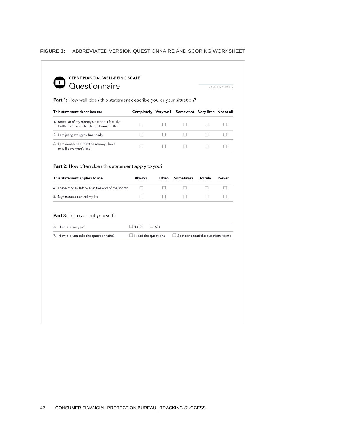#### **FIGURE 3:** ABBREVIATED VERSION QUESTIONNAIRE AND SCORING WORKSHEET

#### CFPB FINANCIAL WELL-BEING SCALE  $\bullet$ Questionnaire NAME OR NUMBER Part 1: How well does this statement describe you or your situation? Completely Very well Somewhat Very little Not at all This statement describes me 1. Because of my money situation, I feel like  $\Box$  $\Box$  $\Box$  $\Box$  $\Box$ I will never have the things I want in life  $\Box$  $\Box$  $\Box$  $\Box$  $\Box$ 2. I am just getting by financially 3. I am concerned that the money I have  $\Box$  $\Box$  $\Box$  $\Box$  $\Box$ or will save won't last Part 2: How often does this statement apply to you? This statement applies to me Always Often Sometimes Rarely Never  $\Box$  $\Box$  $\Box$  $\Box$  $\Box$ 4. I have money left over at the end of the month  $\Box$  $\Box$  $\Box$  $\Box$  $\Box$ 5. My finances control my life Part 3: Tell us about yourself.  $\Box$  62+  $\Box$  18-61 6. How old are you?  $\Box$  I read the questions  $\Box$  Someone read the questions to me 7. How did you take the questionnaire?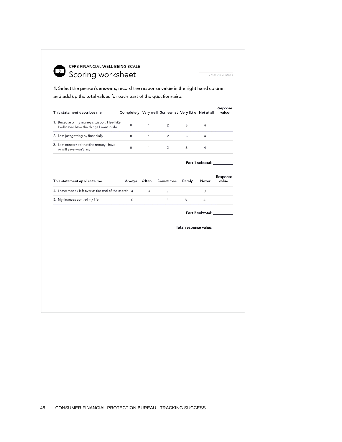

### CFPB FINANCIAL WELL-BEING SCALE Scoring worksheet

#### NAME OR NUMBER

1. Select the person's answers, record the response value in the right hand column and add up the total values for each part of the questionnaire.

|    | This statement describes me                                                                  | Completely Very well Somewhat Very little Not at all |                |   |   | Response<br>value |
|----|----------------------------------------------------------------------------------------------|------------------------------------------------------|----------------|---|---|-------------------|
|    | 1. Because of my money situation, I feel like<br>I will never have the things I want in life | 0                                                    | $\overline{2}$ | 3 | 4 |                   |
|    | 2. I am just getting by financially                                                          | 0                                                    |                | З | 4 |                   |
| 3. | am concerned that the money I have<br>or will save won't last                                | 0                                                    |                | 3 |   |                   |

|  |  | Part 1 subtotal: |  |
|--|--|------------------|--|
|--|--|------------------|--|

| This statement applies to me                        |          | Always Often Sometimes | Rarely | Never | Response<br>value |
|-----------------------------------------------------|----------|------------------------|--------|-------|-------------------|
| 4. I have money left over at the end of the month 4 |          |                        |        |       |                   |
| 5. My finances control my life                      | $\Omega$ |                        |        |       |                   |

Part 2 subtotal: \_\_

Total response value: \_\_\_\_\_